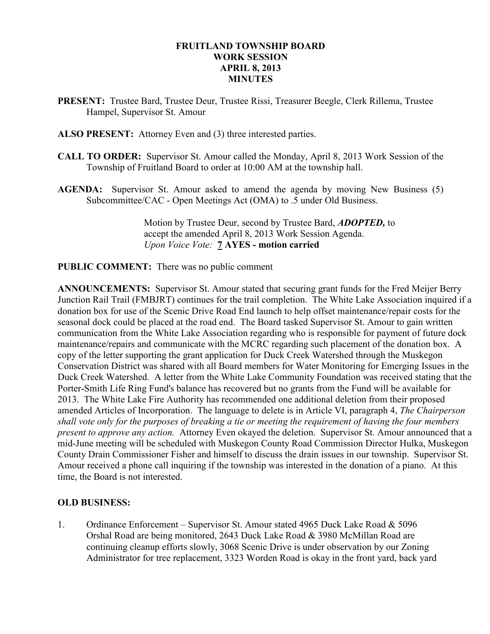### FRUITLAND TOWNSHIP BOARD WORK SESSION APRIL 8, 2013 **MINUTES**

- PRESENT: Trustee Bard, Trustee Deur, Trustee Rissi, Treasurer Beegle, Clerk Rillema, Trustee Hampel, Supervisor St. Amour
- ALSO PRESENT: Attorney Even and (3) three interested parties.
- CALL TO ORDER: Supervisor St. Amour called the Monday, April 8, 2013 Work Session of the Township of Fruitland Board to order at 10:00 AM at the township hall.
- AGENDA: Supervisor St. Amour asked to amend the agenda by moving New Business (5) Subcommittee/CAC - Open Meetings Act (OMA) to .5 under Old Business.

Motion by Trustee Deur, second by Trustee Bard, **ADOPTED**, to accept the amended April 8, 2013 Work Session Agenda. Upon Voice Vote: 7 AYES - motion carried

### PUBLIC COMMENT: There was no public comment

ANNOUNCEMENTS: Supervisor St. Amour stated that securing grant funds for the Fred Meijer Berry Junction Rail Trail (FMBJRT) continues for the trail completion. The White Lake Association inquired if a donation box for use of the Scenic Drive Road End launch to help offset maintenance/repair costs for the seasonal dock could be placed at the road end. The Board tasked Supervisor St. Amour to gain written communication from the White Lake Association regarding who is responsible for payment of future dock maintenance/repairs and communicate with the MCRC regarding such placement of the donation box. A copy of the letter supporting the grant application for Duck Creek Watershed through the Muskegon Conservation District was shared with all Board members for Water Monitoring for Emerging Issues in the Duck Creek Watershed. A letter from the White Lake Community Foundation was received stating that the Porter-Smith Life Ring Fund's balance has recovered but no grants from the Fund will be available for 2013. The White Lake Fire Authority has recommended one additional deletion from their proposed amended Articles of Incorporation. The language to delete is in Article VI, paragraph 4, The Chairperson shall vote only for the purposes of breaking a tie or meeting the requirement of having the four members present to approve any action. Attorney Even okayed the deletion. Supervisor St. Amour announced that a mid-June meeting will be scheduled with Muskegon County Road Commission Director Hulka, Muskegon County Drain Commissioner Fisher and himself to discuss the drain issues in our township. Supervisor St. Amour received a phone call inquiring if the township was interested in the donation of a piano. At this time, the Board is not interested.

## OLD BUSINESS:

1. Ordinance Enforcement – Supervisor St. Amour stated 4965 Duck Lake Road & 5096 Orshal Road are being monitored, 2643 Duck Lake Road & 3980 McMillan Road are continuing cleanup efforts slowly, 3068 Scenic Drive is under observation by our Zoning Administrator for tree replacement, 3323 Worden Road is okay in the front yard, back yard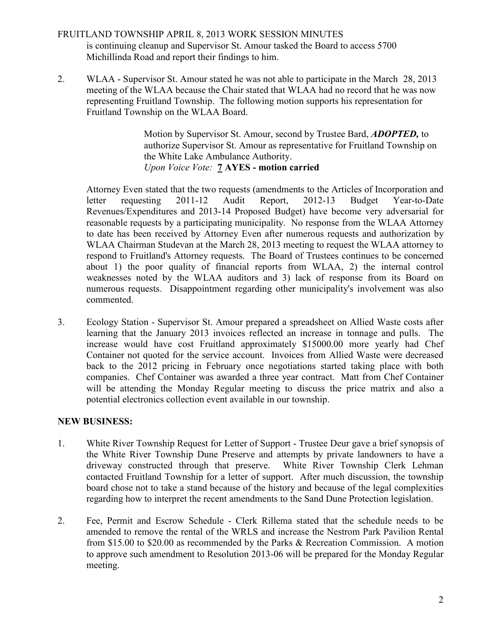## FRUITLAND TOWNSHIP APRIL 8, 2013 WORK SESSION MINUTES is continuing cleanup and Supervisor St. Amour tasked the Board to access 5700 Michillinda Road and report their findings to him.

2. WLAA - Supervisor St. Amour stated he was not able to participate in the March 28, 2013 meeting of the WLAA because the Chair stated that WLAA had no record that he was now representing Fruitland Township. The following motion supports his representation for Fruitland Township on the WLAA Board.

> Motion by Supervisor St. Amour, second by Trustee Bard, **ADOPTED**, to authorize Supervisor St. Amour as representative for Fruitland Township on the White Lake Ambulance Authority. Upon Voice Vote: 7 AYES - motion carried

 Attorney Even stated that the two requests (amendments to the Articles of Incorporation and letter requesting 2011-12 Audit Report, 2012-13 Budget Year-to-Date Revenues/Expenditures and 2013-14 Proposed Budget) have become very adversarial for reasonable requests by a participating municipality. No response from the WLAA Attorney to date has been received by Attorney Even after numerous requests and authorization by WLAA Chairman Studevan at the March 28, 2013 meeting to request the WLAA attorney to respond to Fruitland's Attorney requests. The Board of Trustees continues to be concerned about 1) the poor quality of financial reports from WLAA, 2) the internal control weaknesses noted by the WLAA auditors and 3) lack of response from its Board on numerous requests. Disappointment regarding other municipality's involvement was also commented.

3. Ecology Station - Supervisor St. Amour prepared a spreadsheet on Allied Waste costs after learning that the January 2013 invoices reflected an increase in tonnage and pulls. The increase would have cost Fruitland approximately \$15000.00 more yearly had Chef Container not quoted for the service account. Invoices from Allied Waste were decreased back to the 2012 pricing in February once negotiations started taking place with both companies. Chef Container was awarded a three year contract. Matt from Chef Container will be attending the Monday Regular meeting to discuss the price matrix and also a potential electronics collection event available in our township.

## NEW BUSINESS:

- 1. White River Township Request for Letter of Support Trustee Deur gave a brief synopsis of the White River Township Dune Preserve and attempts by private landowners to have a driveway constructed through that preserve. White River Township Clerk Lehman contacted Fruitland Township for a letter of support. After much discussion, the township board chose not to take a stand because of the history and because of the legal complexities regarding how to interpret the recent amendments to the Sand Dune Protection legislation.
- 2. Fee, Permit and Escrow Schedule Clerk Rillema stated that the schedule needs to be amended to remove the rental of the WRLS and increase the Nestrom Park Pavilion Rental from \$15.00 to \$20.00 as recommended by the Parks & Recreation Commission. A motion to approve such amendment to Resolution 2013-06 will be prepared for the Monday Regular meeting.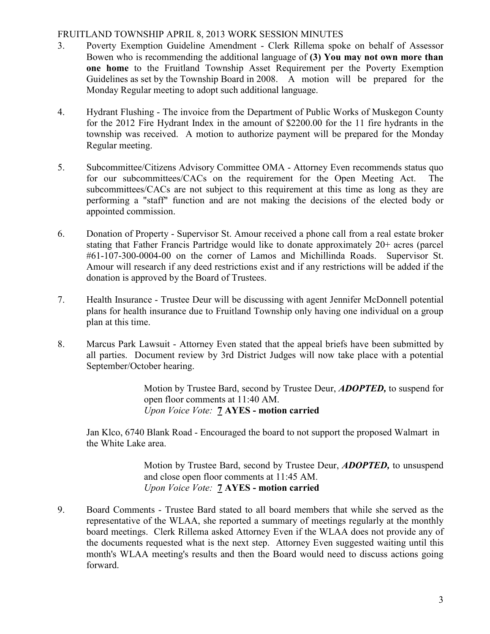### FRUITLAND TOWNSHIP APRIL 8, 2013 WORK SESSION MINUTES

- 3. Poverty Exemption Guideline Amendment Clerk Rillema spoke on behalf of Assessor Bowen who is recommending the additional language of (3) You may not own more than one home to the Fruitland Township Asset Requirement per the Poverty Exemption Guidelines as set by the Township Board in 2008. A motion will be prepared for the Monday Regular meeting to adopt such additional language.
- 4. Hydrant Flushing The invoice from the Department of Public Works of Muskegon County for the 2012 Fire Hydrant Index in the amount of \$2200.00 for the 11 fire hydrants in the township was received. A motion to authorize payment will be prepared for the Monday Regular meeting.
- 5. Subcommittee/Citizens Advisory Committee OMA Attorney Even recommends status quo for our subcommittees/CACs on the requirement for the Open Meeting Act. The subcommittees/CACs are not subject to this requirement at this time as long as they are performing a "staff" function and are not making the decisions of the elected body or appointed commission.
- 6. Donation of Property Supervisor St. Amour received a phone call from a real estate broker stating that Father Francis Partridge would like to donate approximately 20+ acres (parcel #61-107-300-0004-00 on the corner of Lamos and Michillinda Roads. Supervisor St. Amour will research if any deed restrictions exist and if any restrictions will be added if the donation is approved by the Board of Trustees.
- 7. Health Insurance Trustee Deur will be discussing with agent Jennifer McDonnell potential plans for health insurance due to Fruitland Township only having one individual on a group plan at this time.
- 8. Marcus Park Lawsuit Attorney Even stated that the appeal briefs have been submitted by all parties. Document review by 3rd District Judges will now take place with a potential September/October hearing.

 Motion by Trustee Bard, second by Trustee Deur, ADOPTED, to suspend for open floor comments at 11:40 AM. Upon Voice Vote: 7 AYES - motion carried

Jan Klco, 6740 Blank Road - Encouraged the board to not support the proposed Walmart in the White Lake area.

> Motion by Trustee Bard, second by Trustee Deur, **ADOPTED**, to unsuspend and close open floor comments at 11:45 AM. Upon Voice Vote: 7 AYES - motion carried

9. Board Comments - Trustee Bard stated to all board members that while she served as the representative of the WLAA, she reported a summary of meetings regularly at the monthly board meetings. Clerk Rillema asked Attorney Even if the WLAA does not provide any of the documents requested what is the next step. Attorney Even suggested waiting until this month's WLAA meeting's results and then the Board would need to discuss actions going forward.